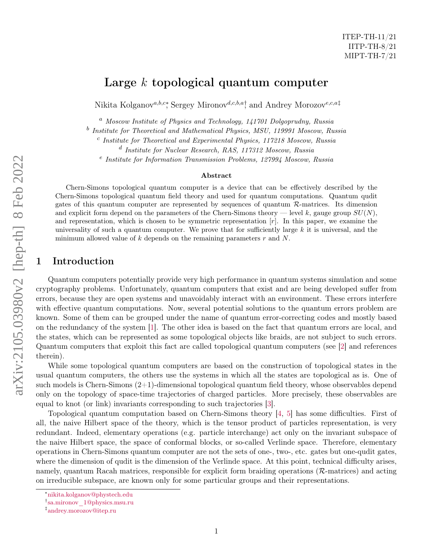ITEP-TH-11/21 IITP-TH-8/21 MIPT-TH-7/21

Nikita Kolganov<sup>a,b,c</sup>\*, Sergey Mironov<sup>d,c,b,a†</sup> and Andrey Morozov<sup>e,c,a‡</sup>

 $a$  Moscow Institute of Physics and Technology, 141701 Dolgoprudny, Russia

 $^b$  Institute for Theoretical and Mathematical Physics, MSU, 119991 Moscow, Russia

<sup>c</sup> Institute for Theoretical and Experimental Physics, 117218 Moscow, Russia

d Institute for Nuclear Research, RAS, 117312 Moscow, Russia

<sup>e</sup> Institute for Information Transmission Problems, 127994 Moscow, Russia

#### Abstract

Chern-Simons topological quantum computer is a device that can be effectively described by the Chern-Simons topological quantum field theory and used for quantum computations. Quantum qudit gates of this quantum computer are represented by sequences of quantum R-matrices. Its dimension and explicit form depend on the parameters of the Chern-Simons theory — level k, gauge group  $SU(N)$ , and representation, which is chosen to be symmetric representation  $[r]$ . In this paper, we examine the universality of such a quantum computer. We prove that for sufficiently large  $k$  it is universal, and the minimum allowed value of k depends on the remaining parameters  $r$  and  $N$ .

# 1 Introduction

Quantum computers potentially provide very high performance in quantum systems simulation and some cryptography problems. Unfortunately, quantum computers that exist and are being developed suffer from errors, because they are open systems and unavoidably interact with an environment. These errors interfere with effective quantum computations. Now, several potential solutions to the quantum errors problem are known. Some of them can be grouped under the name of quantum error-correcting codes and mostly based on the redundancy of the system [\[1\]](#page-13-0). The other idea is based on the fact that quantum errors are local, and the states, which can be represented as some topological objects like braids, are not subject to such errors. Quantum computers that exploit this fact are called topological quantum computers (see [\[2\]](#page-13-1) and references therein).

While some topological quantum computers are based on the construction of topological states in the usual quantum computers, the others use the systems in which all the states are topological as is. One of such models is Chern-Simons (2+1)-dimensional topological quantum field theory, whose observables depend only on the topology of space-time trajectories of charged particles. More precisely, these observables are equal to knot (or link) invariants corresponding to such trajectories [\[3\]](#page-13-2).

Topological quantum computation based on Chern-Simons theory [\[4,](#page-13-3) [5\]](#page-13-4) has some difficulties. First of all, the naive Hilbert space of the theory, which is the tensor product of particles representation, is very redundant. Indeed, elementary operations (e.g. particle interchange) act only on the invariant subspace of the naive Hilbert space, the space of conformal blocks, or so-called Verlinde space. Therefore, elementary operations in Chern-Simons quantum computer are not the sets of one-, two-, etc. gates but one-qudit gates, where the dimension of qudit is the dimension of the Verlinde space. At this point, technical difficulty arises, namely, quantum Racah matrices, responsible for explicit form braiding operations  $(R$ -matrices) and acting on irreducible subspace, are known only for some particular groups and their representations.

<sup>∗</sup>[nikita.kolganov@phystech.edu](mailto:nikita.kolganov@phystech.edu)

<sup>†</sup> [sa.mironov\\_1@physics.msu.ru](mailto:sa.mironov_1@physics.msu.ru)

<sup>‡</sup> [andrey.morozov@itep.ru](mailto:andrey.morozov@itep.ru)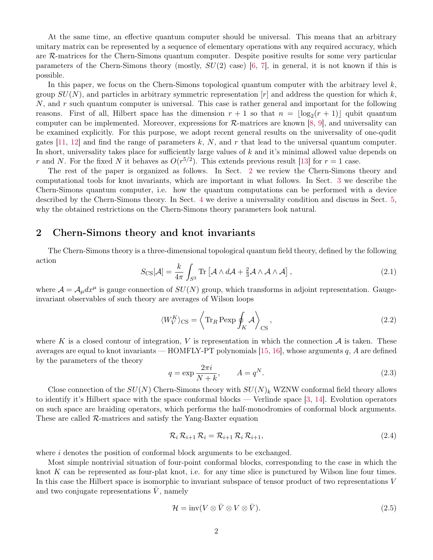At the same time, an effective quantum computer should be universal. This means that an arbitrary unitary matrix can be represented by a sequence of elementary operations with any required accuracy, which are R-matrices for the Chern-Simons quantum computer. Despite positive results for some very particular parameters of the Chern-Simons theory (mostly,  $SU(2)$  case) [\[6,](#page-13-5) [7\]](#page-13-6), in general, it is not known if this is possible.

In this paper, we focus on the Chern-Simons topological quantum computer with the arbitrary level  $k$ , group  $SU(N)$ , and particles in arbitrary symmetric representation  $|r|$  and address the question for which k, N, and r such quantum computer is universal. This case is rather general and important for the following reasons. First of all, Hilbert space has the dimension  $r + 1$  so that  $n = \lfloor \log_2(r + 1) \rfloor$  qubit quantum computer can be implemented. Moreover, expressions for  $\mathcal{R}\text{-matrices}$  are known [\[8,](#page-13-7) [9\]](#page-13-8), and universality can be examined explicitly. For this purpose, we adopt recent general results on the universality of one-qudit gates [\[11,](#page-13-9) [12\]](#page-13-10) and find the range of parameters k, N, and r that lead to the universal quantum computer. In short, universality takes place for sufficiently large values of  $k$  and it's minimal allowed value depends on r and N. For the fixed N it behaves as  $O(r^{5/2})$ . This extends previous result [\[13\]](#page-13-11) for  $r = 1$  case.

The rest of the paper is organized as follows. In Sect. [2](#page-1-0) we review the Chern-Simons theory and computational tools for knot invariants, which are important in what follows. In Sect. [3](#page-4-0) we describe the Chern-Simons quantum computer, i.e. how the quantum computations can be performed with a device described by the Chern-Simons theory. In Sect. [4](#page-6-0) we derive a universality condition and discuss in Sect. [5,](#page-11-0) why the obtained restrictions on the Chern-Simons theory parameters look natural.

### <span id="page-1-0"></span>2 Chern-Simons theory and knot invariants

The Chern-Simons theory is a three-dimensional topological quantum field theory, defined by the following action

$$
S_{\text{CS}}[\mathcal{A}] = \frac{k}{4\pi} \int_{S^3} \text{Tr} \left[ \mathcal{A} \wedge d\mathcal{A} + \frac{2}{3} \mathcal{A} \wedge \mathcal{A} \wedge \mathcal{A} \right], \tag{2.1}
$$

where  $\mathcal{A} = \mathcal{A}_{\mu} dx^{\mu}$  is gauge connection of  $SU(N)$  group, which transforms in adjoint representation. Gaugeinvariant observables of such theory are averages of Wilson loops

<span id="page-1-1"></span>
$$
\langle W_V^K \rangle_{\text{CS}} = \left\langle \text{Tr}_R \,\text{Pexp} \oint_K \mathcal{A} \right\rangle_{\text{CS}},\tag{2.2}
$$

where K is a closed contour of integration, V is representation in which the connection  $A$  is taken. These averages are equal to knot invariants — HOMFLY-PT polynomials [\[15,](#page-13-12) [16\]](#page-13-13), whose arguments  $q$ ,  $A$  are defined by the parameters of the theory

$$
q = \exp\frac{2\pi i}{N+k}, \qquad A = q^N. \tag{2.3}
$$

Close connection of the  $SU(N)$  Chern-Simons theory with  $SU(N)_k$  WZNW conformal field theory allows to identify it's Hilbert space with the space conformal blocks — Verlinde space [\[3,](#page-13-2) [14\]](#page-13-14). Evolution operators on such space are braiding operators, which performs the half-monodromies of conformal block arguments. These are called  $\mathcal{R}$ -matrices and satisfy the Yang-Baxter equation

$$
\mathcal{R}_i \,\mathcal{R}_{i+1} \,\mathcal{R}_i = \mathcal{R}_{i+1} \,\mathcal{R}_i \,\mathcal{R}_{i+1},\tag{2.4}
$$

where i denotes the position of conformal block arguments to be exchanged.

Most simple nontrivial situation of four-point conformal blocks, corresponding to the case in which the knot K can be represented as four-plat knot, i.e. for any time slice is punctured by Wilson line four times. In this case the Hilbert space is isomorphic to invariant subspace of tensor product of two representations V and two conjugate representations  $V$ , namely

<span id="page-1-2"></span>
$$
\mathcal{H} = \text{inv}(V \otimes \bar{V} \otimes V \otimes \bar{V}).\tag{2.5}
$$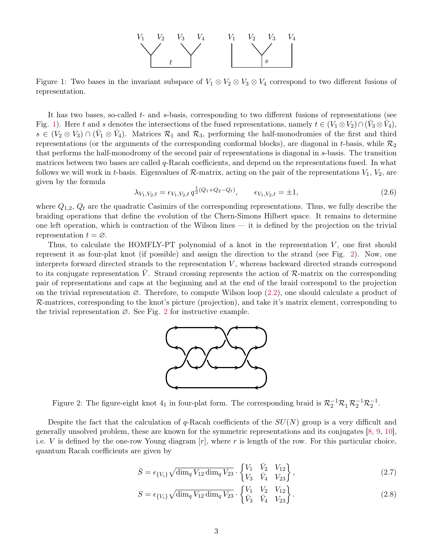

<span id="page-2-0"></span>Figure 1: Two bases in the invariant subspace of  $V_1 \otimes V_2 \otimes V_3 \otimes V_4$  correspond to two different fusions of representation.

It has two bases, so-called t- and s-basis, corresponding to two different fusions of representations (see Fig. [1\)](#page-2-0). Here t and s denotes the intersections of the fused representations, namely  $t \in (V_1 \otimes V_2) \cap (\bar{V}_3 \otimes \bar{V}_4)$ ,  $s \in (V_2 \otimes V_3) \cap (\bar{V}_1 \otimes \bar{V}_4)$ . Matrices  $\mathcal{R}_1$  and  $\mathcal{R}_3$ , performing the half-monodromies of the first and third representations (or the arguments of the corresponding conformal blocks), are diagonal in t-basis, while  $\mathcal{R}_2$ that performs the half-monodromy of the second pair of representations is diagonal in s-basis. The transition matrices between two bases are called  $q$ -Racah coefficients, and depend on the representations fused. In what follows we will work in t-basis. Eigenvalues of  $R$ -matrix, acting on the pair of the representations  $V_1$ ,  $V_2$ , are given by the formula

$$
\lambda_{V_1, V_2, t} = \epsilon_{V_1, V_2, t} q^{\frac{1}{2}(Q_1 + Q_2 - Q_t)}, \qquad \epsilon_{V_1, V_2, t} = \pm 1, \tag{2.6}
$$

where  $Q_{1,2}$ ,  $Q_t$  are the quadratic Casimirs of the corresponding representations. Thus, we fully describe the braiding operations that define the evolution of the Chern-Simons Hilbert space. It remains to determine one left operation, which is contraction of the Wilson lines — it is defined by the projection on the trivial representation  $t = \varnothing$ .

Thus, to calculate the HOMFLY-PT polynomial of a knot in the representation  $V$ , one first should represent it as four-plat knot (if possible) and assign the direction to the strand (see Fig. [2\)](#page-2-1). Now, one interprets forward directed strands to the representation  $V$ , whereas backward directed strands correspond to its conjugate representation V. Strand crossing represents the action of  $\mathcal{R}_-$ matrix on the corresponding pair of representations and caps at the beginning and at the end of the braid correspond to the projection on the trivial representation ∅. Therefore, to compute Wilson loop [\(2.2\)](#page-1-1), one should calculate a product of R-matrices, corresponding to the knot's picture (projection), and take it's matrix element, corresponding to the trivial representation  $\varnothing$ . See Fig. [2](#page-2-1) for instructive example.



<span id="page-2-1"></span>Figure 2: The figure-eight knot  $4_1$  in four-plat form. The corresponding braid is  $\mathcal{R}_2^{-1}\mathcal{R}_1\mathcal{R}_2^{-1}\mathcal{R}_2^{-1}$ .

Despite the fact that the calculation of q-Racah coefficients of the  $SU(N)$  group is a very difficult and generally unsolved problem, these are known for the symmetric representations and its conjugates [\[8,](#page-13-7) [9,](#page-13-8) [10\]](#page-13-15), i.e. V is defined by the one-row Young diagram  $[r]$ , where r is length of the row. For this particular choice, quantum Racah coefficients are given by

<span id="page-2-2"></span>
$$
\bar{S} = \epsilon_{\{V_i\}} \sqrt{\dim_q V_{12} \dim_q V_{23}} \cdot \begin{Bmatrix} V_1 & \bar{V}_2 & V_{12} \\ V_3 & \bar{V}_4 & V_{23} \end{Bmatrix},
$$
\n(2.7)

<span id="page-2-3"></span>
$$
S = \epsilon_{\{V_i\}} \sqrt{\dim_q V_{12} \dim_q V_{23}} \cdot \begin{Bmatrix} V_1 & V_2 & V_{12} \\ \bar{V}_3 & \bar{V}_4 & V_{23} \end{Bmatrix} . \tag{2.8}
$$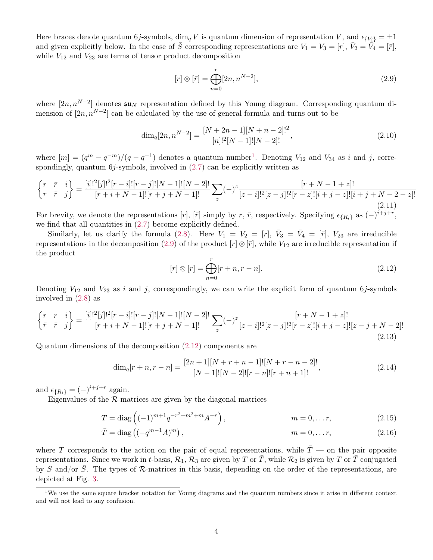Here braces denote quantum 6j-symbols, dim<sub>q</sub> V is quantum dimension of representation V, and  $\epsilon_{\{V_i\}} = \pm 1$ and given explicitly below. In the case of  $\overline{S}$  corresponding representations are  $V_1 = V_3 = [r], \overline{V}_2 = \overline{V}_4 = [\overline{r}],$ while  $V_{12}$  and  $V_{23}$  are terms of tensor product decomposition

<span id="page-3-1"></span>
$$
[r] \otimes [\bar{r}] = \bigoplus_{n=0}^{r} [2n, n^{N-2}], \tag{2.9}
$$

where  $[2n, n^{N-2}]$  denotes  $\mathfrak{su}_N$  representation defined by this Young diagram. Corresponding quantum dimension of  $[2n, n^{N-2}]$  can be calculated by the use of general formula and turns out to be

$$
\dim_q[2n, n^{N-2}] = \frac{[N+2n-1][N+n-2]!^2}{[n]!^2[N-1]![N-2]!},\tag{2.10}
$$

where  $[m] = (q^m - q^{-m})/(q - q^{-1})$  $[m] = (q^m - q^{-m})/(q - q^{-1})$  $[m] = (q^m - q^{-m})/(q - q^{-1})$  denotes a quantum number<sup>1</sup>. Denoting  $V_{12}$  and  $V_{34}$  as i and j, correspondingly, quantum  $6j$ -symbols, involved in  $(2.7)$  can be explicitly written as

$$
\begin{Bmatrix} r & \bar{r} & i \\ r & \bar{r} & j \end{Bmatrix} = \frac{[i]!^2[j]!^2[r-i]![r-j]![N-1]![N-2]!}{[r+i+N-1]![r+j+N-1]!} \sum_z (-)^z \frac{[r+N-1+z]!}{[z-i]!^2[z-j]!^2[r-z]![i+j-z]![i+j+N-2-z]!}
$$
\n(2.11)

For brevity, we denote the representations [r], [ $\bar{r}$ ] simply by r,  $\bar{r}$ , respectively. Specifying  $\epsilon_{\{R_i\}}$  as  $(-)^{i+j+r}$ , we find that all quantities in [\(2.7\)](#page-2-2) become explicitly defined.

Similarly, let us clarify the formula [\(2.8\)](#page-2-3). Here  $V_1 = V_2 = [r]$ ,  $\bar{V}_3 = \bar{V}_4 = [\bar{r}]$ ,  $V_{23}$  are irreducible representations in the decomposition [\(2.9\)](#page-3-1) of the product  $[r] \otimes [\bar{r}]$ , while  $V_{12}$  are irreducible representation if the product

<span id="page-3-4"></span><span id="page-3-3"></span><span id="page-3-2"></span>
$$
[r] \otimes [r] = \bigoplus_{n=0}^{r} [r+n, r-n]. \tag{2.12}
$$

Denoting  $V_{12}$  and  $V_{23}$  as i and j, correspondingly, we can write the explicit form of quantum 6j-symbols involved in [\(2.8\)](#page-2-3) as

$$
\begin{Bmatrix} r & r & i \ \bar{r} & \bar{r} & j \end{Bmatrix} = \frac{[i]!^2[j]!^2[r-i]![r-j]![N-1]![N-2]!}{[r+i+N-1]![r+j+N-1]!} \sum_z (-)^z \frac{[r+N-1+z]!}{[z-i]!^2[z-j]!^2[r-z]![i+j-z]![z-j+N-2]!}
$$
\n(2.13)

Quantum dimensions of the decomposition [\(2.12\)](#page-3-2) components are

$$
\dim_q[r+n, r-n] = \frac{[2n+1][N+r+n-1]![N+r-n-2]!}{[N-1]![N-2]![r-n]![r+n+1]!},\tag{2.14}
$$

and  $\epsilon_{\{R_i\}} = (-)^{i+j+r}$  again.

Eigenvalues of the  $R$ -matrices are given by the diagonal matrices

$$
T = \text{diag}\left((-1)^{m+1}q^{-r^2+m^2+m}A^{-r}\right), \qquad m = 0, \dots r,
$$
\n(2.15)

$$
\bar{T} = \text{diag}\left( (-q^{m-1}A)^m \right), \qquad m = 0, \dots r, \qquad (2.16)
$$

where T corresponds to the action on the pair of equal representations, while  $\overline{T}$  — on the pair opposite representations. Since we work in t-basis,  $\mathcal{R}_1, \mathcal{R}_3$  are given by T or  $\overline{T}$ , while  $\mathcal{R}_2$  is given by T or  $\overline{T}$  conjugated by S and/or  $\overline{S}$ . The types of R-matrices in this basis, depending on the order of the representations, are depicted at Fig. [3.](#page-4-1)

<span id="page-3-0"></span><sup>&</sup>lt;sup>1</sup>We use the same square bracket notation for Young diagrams and the quantum numbers since it arise in different context and will not lead to any confusion.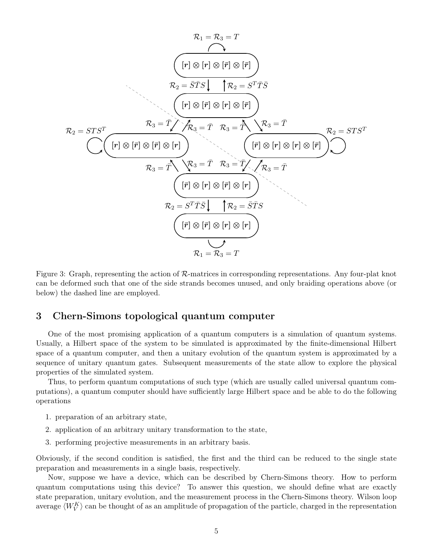$$
\mathcal{R}_1 = \mathcal{R}_3 = T
$$
\n
$$
\begin{array}{c}\n\left[r \mid \otimes [r] \otimes [\bar{r}] \otimes [\bar{r}]\right] \\
\mathcal{R}_2 = \overline{S} \overline{T} \overline{S} \downarrow \qquad \mathcal{R}_2 = S^T \overline{T} \overline{S} \\
\mathcal{R}_2 = S \overline{T} \overline{S} \downarrow \qquad \mathcal{R}_2 = S^T \overline{T} \overline{S} \\
\mathcal{R}_3 = \overline{T} \nearrow \overline{\mathcal{R}}_3 = \overline{T} \qquad \mathcal{R}_3 = \overline{T} \qquad \mathcal{R}_3 = \overline{T} \qquad \mathcal{R}_3 = \overline{T} \\
\mathcal{R}_3 = \overline{T} \qquad \mathcal{R}_3 = \overline{T} \qquad \mathcal{R}_3 = \overline{T} \qquad \mathcal{R}_2 = S \overline{T} S^T \\
\hline\n\mathcal{R}_3 = \overline{T} \qquad \mathcal{R}_3 = \overline{T} \qquad \mathcal{R}_3 = \overline{T} \qquad \mathcal{R}_3 = \overline{T} \qquad \mathcal{R}_3 = \overline{T} \qquad \mathcal{R}_3 = \overline{T} \qquad \mathcal{R}_4 = \overline{S} \overline{T} S \qquad \mathcal{R}_5 = \overline{T} \qquad \mathcal{R}_2 = \overline{S} \overline{T} S \qquad \mathcal{R}_1 = \mathcal{R}_3 = T\n\end{array}
$$

<span id="page-4-1"></span>Figure 3: Graph, representing the action of R-matrices in corresponding representations. Any four-plat knot can be deformed such that one of the side strands becomes unused, and only braiding operations above (or below) the dashed line are employed.

## <span id="page-4-0"></span>3 Chern-Simons topological quantum computer

One of the most promising application of a quantum computers is a simulation of quantum systems. Usually, a Hilbert space of the system to be simulated is approximated by the finite-dimensional Hilbert space of a quantum computer, and then a unitary evolution of the quantum system is approximated by a sequence of unitary quantum gates. Subsequent measurements of the state allow to explore the physical properties of the simulated system.

Thus, to perform quantum computations of such type (which are usually called universal quantum computations), a quantum computer should have sufficiently large Hilbert space and be able to do the following operations

- 1. preparation of an arbitrary state,
- 2. application of an arbitrary unitary transformation to the state,
- 3. performing projective measurements in an arbitrary basis.

Obviously, if the second condition is satisfied, the first and the third can be reduced to the single state preparation and measurements in a single basis, respectively.

Now, suppose we have a device, which can be described by Chern-Simons theory. How to perform quantum computations using this device? To answer this question, we should define what are exactly state preparation, unitary evolution, and the measurement process in the Chern-Simons theory. Wilson loop average  $\langle W_V^K \rangle$  can be thought of as an amplitude of propagation of the particle, charged in the representation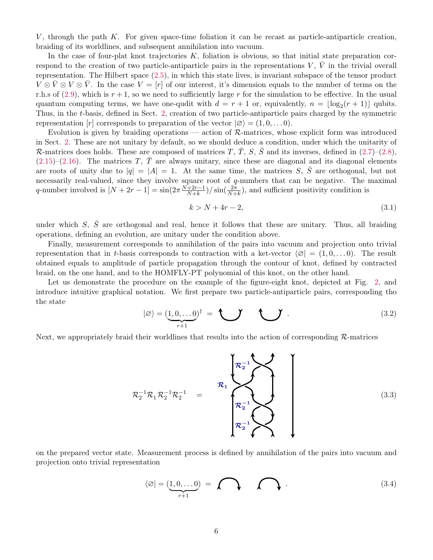V, through the path  $K$ . For given space-time foliation it can be recast as particle-antiparticle creation, braiding of its worldlines, and subsequent annihilation into vacuum.

In the case of four-plat knot trajectories  $K$ , foliation is obvious, so that initial state preparation correspond to the creation of two particle-antiparticle pairs in the representations V,  $\bar{V}$  in the trivial overall representation. The Hilbert space [\(2.5\)](#page-1-2), in which this state lives, is invariant subspace of the tensor product  $V \otimes \bar{V} \otimes V \otimes \bar{V}$ . In the case  $V = [r]$  of our interest, it's dimension equals to the number of terms on the r.h.s of  $(2.9)$ , which is  $r+1$ , so we need to sufficiently large r for the simulation to be effective. In the usual quantum computing terms, we have one-qudit with  $d = r + 1$  or, equivalently,  $n = \lfloor \log_2(r + 1) \rfloor$  qubits. Thus, in the t-basis, defined in Sect. [2,](#page-1-0) creation of two particle-antiparticle pairs charged by the symmetric representation  $[r]$  corresponds to preparation of the vector  $(\emptyset) = (1, 0, \ldots, 0)$ .

Evolution is given by braiding operations — action of R-matrices, whose explicit form was introduced in Sect. [2.](#page-1-0) These are not unitary by default, so we should deduce a condition, under which the unitarity of R-matrices does holds. These are composed of matrices T,  $\overline{T}$ , S,  $\overline{S}$  and its inverses, defined in [\(2.7\)](#page-2-2)–[\(2.8\)](#page-2-3),  $(2.15)$ – $(2.16)$ . The matrices T,  $\overline{T}$  are always unitary, since these are diagonal and its diagonal elements are roots of unity due to  $|q| = |A| = 1$ . At the same time, the matrices S,  $\overline{S}$  are orthogonal, but not necessarily real-valued, since they involve square root of q-numbers that can be negative. The maximal q-number involved is  $[N + 2r - 1] = \sin(2\pi \frac{N+2r-1}{N+k})$  $\frac{+2r-1}{N+k}$ )/ sin $\left(\frac{2\pi}{N+k}\right)$ , and sufficient positivity condition is

$$
k > N + 4r - 2,\tag{3.1}
$$

under which  $S$ ,  $\bar{S}$  are orthogonal and real, hence it follows that these are unitary. Thus, all braiding operations, defining an evolution, are unitary under the condition above.

Finally, measurement corresponds to annihilation of the pairs into vacuum and projection onto trivial representation that in t-basis corresponds to contraction with a ket-vector  $\varnothing$  =  $(1, 0, \ldots, 0)$ . The result obtained equals to amplitude of particle propagation through the contour of knot, defined by contracted braid, on the one hand, and to the HOMFLY-PT polynomial of this knot, on the other hand.

Let us demonstrate the procedure on the example of the figure-eight knot, depicted at Fig. [2,](#page-2-1) and introduce intuitive graphical notation. We first prepare two particle-antiparticle pairs, corresponding tho the state

$$
|\varnothing\rangle = (\underbrace{1,0,\ldots 0}_{r+1})^{\dagger} = \bigcup_{\text{max}} \bigcup_{\text{max}} \tag{3.2}
$$

Next, we appropriately braid their worldlines that results into the action of corresponding  $\mathcal{R}$ -matrices

$$
\mathcal{R}_2^{-1}\mathcal{R}_1\mathcal{R}_2^{-1}\mathcal{R}_2^{-1} = \left\{\begin{matrix} \mathcal{R}_2^{-1} \\ \mathcal{R}_2^{-1} \\ \mathcal{R}_2^{-1} \end{matrix} \right\}
$$
\n(3.3)

on the prepared vector state. Measurement process is defined by annihilation of the pairs into vacuum and projection onto trivial representation

$$
\langle \varnothing | = (\underbrace{1,0,\ldots 0}_{r+1}) = \bigcap \{3.4\}
$$
 (3.4)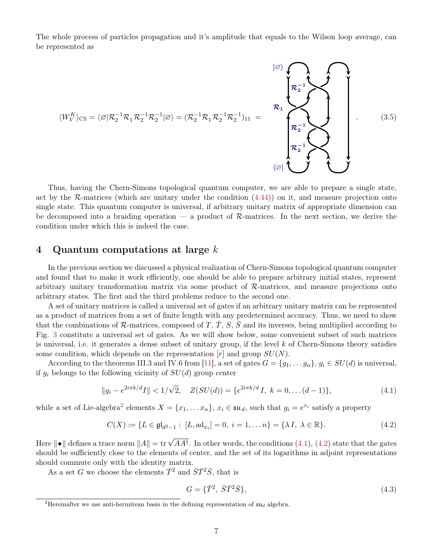The whole process of particles propagation and it's amplitude that equals to the Wilson loop average, can be represented as



Thus, having the Chern-Simons topological quantum computer, we are able to prepare a single state, act by the  $\mathcal{R}$ -matrices (which are unitary under the condition  $(4.44)$ ) on it, and measure projection onto single state. This quantum computer is universal, if arbitrary unitary matrix of appropriate dimension can be decomposed into a braiding operation — a product of  $\mathcal{R}$ -matrices. In the next section, we derive the condition under which this is indeed the case.

### <span id="page-6-0"></span>4 Quantum computations at large  $k$

In the previous section we discussed a physical realization of Chern-Simons topological quantum computer and found that to make it work efficiently, one should be able to prepare arbitrary initial states, represent arbitrary unitary transformation matrix via some product of  $\mathcal{R}$ -matrices, and measure projections onto arbitrary states. The first and the third problems reduce to the second one.

A set of unitary matrices is called a universal set of gates if an arbitrary unitary matrix can be represented as a product of matrices from a set of finite length with any predetermined accuracy. Thus, we need to show that the combinations of R-matrices, composed of T,  $\overline{T}$ , S,  $\overline{S}$  and its inverses, being multiplied according to Fig. [3](#page-4-1) constitute a universal set of gates. As we will show below, some convenient subset of such matrices is universal, i.e. it generates a dense subset of unitary group, if the level  $k$  of Chern-Simons theory satisfies some condition, which depends on the representation  $[r]$  and group  $SU(N)$ .

According to the theorems III.3 and IV.6 from [\[11\]](#page-13-9), a set of gates  $G = \{g_1, \ldots g_n\}, g_i \in SU(d)$  is universal, if  $g_i$  belongs to the following vicinity of  $SU(d)$  group center

<span id="page-6-2"></span>
$$
||g_i - e^{2i\pi k/d}I|| < 1/\sqrt{2}, \quad Z(SU(d)) = \{e^{2i\pi k/d}I, \ k = 0, \dots (d-1)\},
$$
\n(4.1)

while a set of Lie-algebra<sup>[2](#page-6-1)</sup> elements  $X = \{x_1, \ldots x_n\}$ ,  $x_i \in \mathfrak{su}_d$ , such that  $g_i = e^{x_i}$  satisfy a property

<span id="page-6-3"></span>
$$
C(X) := \{ L \in \mathfrak{gl}_{d^2 - 1} : [L, \operatorname{ad}_{x_i}] = 0, \ i = 1, \dots n \} = \{ \lambda I, \ \lambda \in \mathbb{R} \}. \tag{4.2}
$$

Here  $\|\bullet\|$  defines a trace norm  $\|A\| = \text{tr} \sqrt{A A^{\dagger}}$ . In other words, the conditions [\(4.1\)](#page-6-2), [\(4.2\)](#page-6-3) state that the gates should be sufficiently close to the elements of center, and the set of its logarithms in adjoint representations should commute only with the identity matrix.

As a set G we choose the elements  $\bar{T}^2$  and  $\bar{S}\bar{T}^2\bar{S}$ , that is

<span id="page-6-4"></span>
$$
G = \{ \bar{T}^2, \ \bar{S}\bar{T}^2\bar{S} \},\tag{4.3}
$$

<span id="page-6-1"></span><sup>&</sup>lt;sup>2</sup>Hereinafter we use anti-hermitean basis in the defining representation of  $\mathfrak{su}_d$  algebra.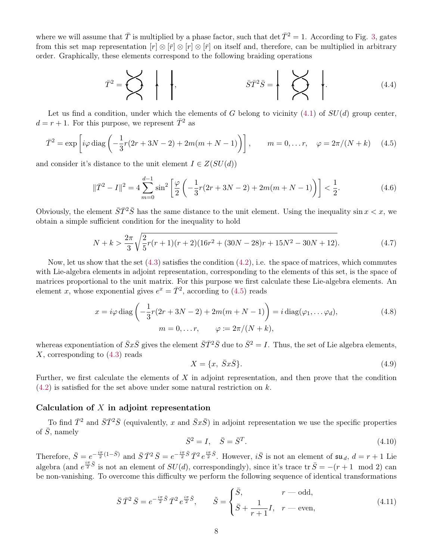where we will assume that  $\overline{T}$  is multiplied by a phase factor, such that det  $\overline{T}^2 = 1$ . According to Fig. [3,](#page-4-1) gates from this set map representation  $[r] \otimes [r] \otimes [r] \otimes [r]$  on itself and, therefore, can be multiplied in arbitrary order. Graphically, these elements correspond to the following braiding operations

$$
\overline{T}^2 = \sum \left\{\left|\left|\right|\right.\right\}, \qquad \overline{S}\overline{T}^2\overline{S} = \left\{\left|\right|\right.\right\} \qquad (4.4)
$$

Let us find a condition, under which the elements of G belong to vicinity  $(4.1)$  of  $SU(d)$  group center,  $d = r + 1$ . For this purpose, we represent  $\overline{T}^2$  as

<span id="page-7-0"></span>
$$
\bar{T}^2 = \exp\left[i\varphi \operatorname{diag}\left(-\frac{1}{3}r(2r+3N-2) + 2m(m+N-1)\right)\right], \qquad m = 0, \dots r, \quad \varphi = 2\pi/(N+k) \tag{4.5}
$$

and consider it's distance to the unit element  $I \in Z(SU(d))$ 

$$
\|\bar{T}^2 - I\|^2 = 4\sum_{m=0}^{d-1} \sin^2\left[\frac{\varphi}{2}\left(-\frac{1}{3}r(2r+3N-2) + 2m(m+N-1)\right)\right] < \frac{1}{2}.\tag{4.6}
$$

Obviously, the element  $\bar{S}\bar{T}^2\bar{S}$  has the same distance to the unit element. Using the inequality sin  $x < x$ , we obtain a simple sufficient condition for the inequality to hold

<span id="page-7-3"></span>
$$
N + k > \frac{2\pi}{3} \sqrt{\frac{2}{5}r(r+1)(r+2)(16r^2 + (30N - 28)r + 15N^2 - 30N + 12)}.
$$
\n(4.7)

Now, let us show that the set  $(4.3)$  satisfies the condition  $(4.2)$ , i.e. the space of matrices, which commutes with Lie-algebra elements in adjoint representation, corresponding to the elements of this set, is the space of matrices proportional to the unit matrix. For this purpose we first calculate these Lie-algebra elements. An element x, whose exponential gives  $e^x = \overline{T}^2$ , according to [\(4.5\)](#page-7-0) reads

$$
x = i\varphi \operatorname{diag}\left(-\frac{1}{3}r(2r + 3N - 2) + 2m(m + N - 1)\right) = i\operatorname{diag}(\varphi_1, \dots, \varphi_d),
$$
  
\n
$$
m = 0, \dots r, \qquad \varphi := 2\pi/(N + k),
$$
\n(4.8)

whereas exponentiation of  $\bar{S}x\bar{S}$  gives the element  $\bar{S}\bar{T}^2\bar{S}$  due to  $\bar{S}^2 = I$ . Thus, the set of Lie algebra elements, X, corresponding to  $(4.3)$  reads

<span id="page-7-2"></span><span id="page-7-1"></span>
$$
X = \{x, \ \bar{S}x\bar{S}\}.\tag{4.9}
$$

Further, we first calculate the elements of  $X$  in adjoint representation, and then prove that the condition  $(4.2)$  is satisfied for the set above under some natural restriction on k.

#### Calculation of  $X$  in adjoint representation

To find  $\bar{T}^2$  and  $\bar{S}\bar{T}^2\bar{S}$  (equivalently, x and  $\bar{S}x\bar{S}$ ) in adjoint representation we use the specific properties of  $\overline{S}$ , namely

$$
\bar{S}^2 = I, \quad \bar{S} = \bar{S}^T. \tag{4.10}
$$

Therefore,  $\bar{S} = e^{-\frac{i\pi}{2}(1-\bar{S})}$  and  $\bar{S}\bar{T}^2 \bar{S} = e^{-\frac{i\pi}{2}\bar{S}}\bar{T}^2 e^{\frac{i\pi}{2}\bar{S}}$ . However,  $i\bar{S}$  is not an element of  $\mathfrak{su}_d$ ,  $d = r + 1$  Lie algebra (and  $e^{\frac{i\pi}{2}\bar{S}}$  is not an element of  $SU(d)$ , correspondingly), since it's trace tr  $\bar{S} = -(r+1 \mod 2)$  can be non-vanishing. To overcome this difficulty we perform the following sequence of identical transformations

$$
\bar{S}\,\bar{T}^2\,\bar{S} = e^{-\frac{i\pi}{2}\tilde{S}}\,\bar{T}^2\,e^{\frac{i\pi}{2}\tilde{S}}, \qquad \tilde{S} = \begin{cases} \bar{S}, & r - \text{odd}, \\ \bar{S} + \frac{1}{r+1}I, & r - \text{even}, \end{cases} \tag{4.11}
$$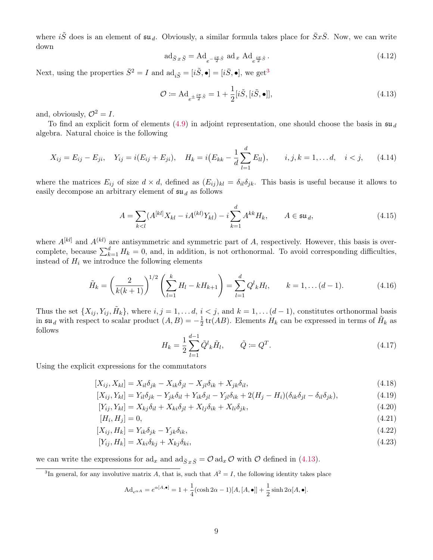where  $i\tilde{S}$  does is an element of  $\mathfrak{su}_d$ . Obviously, a similar formula takes place for  $\bar{S}x\bar{S}$ . Now, we can write down

$$
\operatorname{ad}_{\bar{S}x\bar{S}} = \operatorname{Ad}_{e^{-\frac{i\pi}{2}\tilde{S}}} \operatorname{ad}_x \operatorname{Ad}_{e^{\frac{i\pi}{2}\tilde{S}}}.
$$
\n(4.12)

Next, using the properties  $\bar{S}^2 = I$  and  $\mathrm{ad}_{i\tilde{S}} = [i\tilde{S}, \bullet] = [i\bar{S}, \bullet]$ , we get<sup>[3](#page-8-0)</sup>

<span id="page-8-1"></span>
$$
\mathcal{O} := \mathrm{Ad}_{e^{\pm \frac{i\pi}{2}\tilde{S}}} = 1 + \frac{1}{2} [i\tilde{S}, [i\tilde{S}, \bullet]], \tag{4.13}
$$

and, obviously,  $\mathcal{O}^2 = I$ .

To find an explicit form of elements [\(4.9\)](#page-7-1) in adjoint representation, one should choose the basis in  $\mathfrak{su}_d$ algebra. Natural choice is the following

$$
X_{ij} = E_{ij} - E_{ji}, \quad Y_{ij} = i(E_{ij} + E_{ji}), \quad H_k = i(E_{kk} - \frac{1}{d} \sum_{l=1}^d E_{ll}), \qquad i, j, k = 1, \dots d, \quad i < j,
$$
 (4.14)

where the matrices  $E_{ij}$  of size  $d \times d$ , defined as  $(E_{ij})_{kl} = \delta_{il}\delta_{jk}$ . This basis is useful because it allows to easily decompose an arbitrary element of  $\mathfrak{su}_d$  as follows

$$
A = \sum_{k < l} (A^{[kl]} X_{kl} - iA^{(kl)} Y_{kl}) - i \sum_{k=1}^d A^{kk} H_k, \qquad A \in \mathfrak{su}_d,\tag{4.15}
$$

where  $A^{[kl]}$  and  $A^{(kl)}$  are antisymmetric and symmetric part of A, respectively. However, this basis is overcomplete, because  $\sum_{k=1}^{d} H_k = 0$ , and, in addition, is not orthonormal. To avoid corresponding difficulties, instead of  $H_i$  we introduce the following elements

$$
\tilde{H}_k = \left(\frac{2}{k(k+1)}\right)^{1/2} \left(\sum_{l=1}^k H_l - k H_{k+1}\right) = \sum_{l=1}^d Q^l{}_k H_l, \qquad k = 1, \dots (d-1). \tag{4.16}
$$

Thus the set  $\{X_{ij}, Y_{ij}, \tilde{H}_k\}$ , where  $i, j = 1, \ldots d, i < j$ , and  $k = 1, \ldots (d-1)$ , constitutes orthonormal basis in  $\mathfrak{su}_d$  with respect to scalar product  $(A, B) = -\frac{1}{2}$  $\frac{1}{2}$  tr(*AB*). Elements  $H_k$  can be expressed in terms of  $\tilde{H}_k$  as follows

$$
H_k = \frac{1}{2} \sum_{l=1}^{d-1} \tilde{Q}^l{}_k \tilde{H}_l, \qquad \tilde{Q} := Q^T.
$$
\n(4.17)

Using the explicit expressions for the commutators

$$
[X_{ij}, X_{kl}] = X_{il}\delta_{jk} - X_{ik}\delta_{jl} - X_{jl}\delta_{ik} + X_{jk}\delta_{il},\tag{4.18}
$$

$$
[X_{ij}, Y_{kl}] = Y_{il}\delta_{jk} - Y_{jk}\delta_{il} + Y_{ik}\delta_{jl} - Y_{jl}\delta_{ik} + 2(H_j - H_i)(\delta_{ik}\delta_{jl} - \delta_{il}\delta_{jk}),
$$
\n(4.19)

$$
[Y_{ij}, Y_{kl}] = X_{kj}\delta_{il} + X_{ki}\delta_{jl} + X_{lj}\delta_{ik} + X_{li}\delta_{jk},
$$
\n(4.20)

$$
[H_i, H_j] = 0,\t\t(4.21)
$$

$$
[X_{ij}, H_k] = Y_{ik}\delta_{jk} - Y_{jk}\delta_{ik},\tag{4.22}
$$

$$
[Y_{ij}, H_k] = X_{ki}\delta_{kj} + X_{kj}\delta_{ki},\tag{4.23}
$$

we can write the expressions for  $ad_x$  and  $ad_{\bar{S}x\bar{S}} = \mathcal{O} ad_x \mathcal{O}$  with  $\mathcal O$  defined in [\(4.13\)](#page-8-1).

<span id="page-8-0"></span><sup>3</sup>In general, for any involutive matrix A, that is, such that  $A^2 = I$ , the following identity takes place

$$
\mathrm{Ad}_{e^{\alpha A}} = e^{\alpha[A,\bullet]} = 1 + \frac{1}{4} (\cosh 2\alpha - 1)[A,[A,\bullet]] + \frac{1}{2} \sinh 2\alpha[A,\bullet].
$$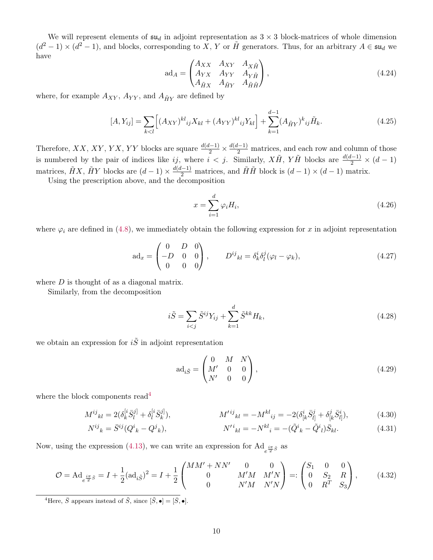We will represent elements of  $\mathfrak{su}_d$  in adjoint representation as  $3 \times 3$  block-matrices of whole dimension  $(d^2-1)\times (d^2-1)$ , and blocks, corresponding to X, Y or  $\tilde{H}$  generators. Thus, for an arbitrary  $A\in \mathfrak{su}_d$  we have

$$
\mathrm{ad}_{A} = \begin{pmatrix} A_{XX} & A_{XY} & A_{X\tilde{H}} \\ A_{YX} & A_{YY} & A_{Y\tilde{H}} \\ A_{\tilde{H}X} & A_{\tilde{H}Y} & A_{\tilde{H}\tilde{H}} \end{pmatrix},\tag{4.24}
$$

where, for example  $A_{XY}$ ,  $A_{YY}$ , and  $A_{\tilde{H}Y}$  are defined by

$$
[A, Y_{ij}] = \sum_{k < l} \left[ (A_{XY})^{kl}{}_{ij} X_{kl} + (A_{YY})^{kl}{}_{ij} Y_{kl} \right] + \sum_{k=1}^{d-1} (A_{\tilde{H}Y})^k{}_{ij} \tilde{H}_k. \tag{4.25}
$$

Therefore, XX, XY, YX, YY blocks are square  $\frac{d(d-1)}{2} \times \frac{d(d-1)}{2}$  matrices, and each row and column of those is numbered by the pair of indices like ij, where  $i < j$ . Similarly,  $X\tilde{H}$ ,  $Y\tilde{H}$  blocks are  $\frac{d(d-1)}{2} \times (d-1)$ matrices,  $\tilde{H}X$ ,  $\tilde{H}Y$  blocks are  $(d-1) \times \frac{d(d-1)}{2}$  matrices, and  $\tilde{H}\tilde{H}$  block is  $(d-1) \times (d-1)$  matrix.

Using the prescription above, and the decomposition

<span id="page-9-1"></span>
$$
x = \sum_{i=1}^{d} \varphi_i H_i,
$$
\n(4.26)

where  $\varphi_i$  are defined in [\(4.8\)](#page-7-2), we immediately obtain the following expression for x in adjoint representation

$$
ad_x = \begin{pmatrix} 0 & D & 0 \\ -D & 0 & 0 \\ 0 & 0 & 0 \end{pmatrix}, \qquad D^{ij}{}_{kl} = \delta^i_k \delta^j_l (\varphi_l - \varphi_k), \tag{4.27}
$$

where  $D$  is thought of as a diagonal matrix.

Similarly, from the decomposition

$$
i\tilde{S} = \sum_{i < j} \tilde{S}^{ij} Y_{ij} + \sum_{k=1}^{d} \tilde{S}^{kk} H_k,\tag{4.28}
$$

we obtain an expression for  $i\tilde{S}$  in adjoint representation

$$
ad_{i\tilde{S}} = \begin{pmatrix} 0 & M & N \\ M' & 0 & 0 \\ N' & 0 & 0 \end{pmatrix},
$$
 (4.29)

where the block components read<sup>[4](#page-9-0)</sup>

$$
M^{ij}{}_{kl} = 2(\delta_k^{[i}\bar{S}_l^{j]} + \delta_l^{[i}\bar{S}_k^{j]}), \qquad M^{\prime ij}{}_{kl} = -M^{kl}{}_{ij} = -2(\delta_k^{i}\bar{S}_l^{j} + \delta_{[k}^{j}\bar{S}_l^{i]}), \qquad (4.30)
$$

$$
N^{ij}_{\ k} = \bar{S}^{ij} (Q^i{}_k - Q^j{}_k), \qquad N'^i{}_{kl} = -N^{kl}_{\ i} = -(\tilde{Q}^i{}_k - \tilde{Q}^i{}_l) \bar{S}_{kl}. \tag{4.31}
$$

Now, using the expression [\(4.13\)](#page-8-1), we can write an expression for  $\text{Ad}_{e^{\frac{i\pi}{2}\tilde{S}}}$  as

<span id="page-9-2"></span>
$$
\mathcal{O} = \mathrm{Ad}_{e^{\frac{i\pi}{2}\tilde{S}}} = I + \frac{1}{2}(\mathrm{ad}_{i\tilde{S}})^{2} = I + \frac{1}{2} \begin{pmatrix} MM' + NN' & 0 & 0 \\ 0 & M'M & M'N \\ 0 & N'M & N'N \end{pmatrix} =: \begin{pmatrix} S_{1} & 0 & 0 \\ 0 & S_{2} & R \\ 0 & R^{T} & S_{3} \end{pmatrix}, \tag{4.32}
$$

<span id="page-9-0"></span><sup>4</sup>Here,  $\bar{S}$  appears instead of  $\tilde{S}$ , since  $[\tilde{S}, \bullet] = [\bar{S}, \bullet]$ .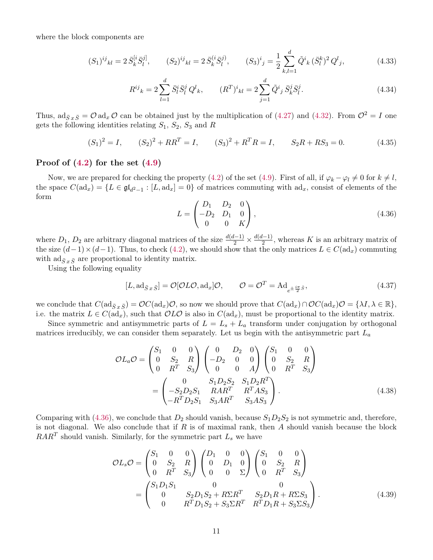where the block components are

$$
(S_1)^{ij}{}_{kl} = 2\,\bar{S}_k^{[i}\bar{S}_l^{j]}, \qquad (S_2)^{ij}{}_{kl} = 2\,\bar{S}_k^{(i}\bar{S}_l^{j)}, \qquad (S_3)^i{}_j = \frac{1}{2}\sum_{k,l=1}^d \tilde{Q}^i{}_k\,(\bar{S}_l^k)^2\,Q^l{}_j,\tag{4.33}
$$

$$
R^{ij}_{\ k} = 2 \sum_{l=1}^{d} \bar{S}_{l}^{i} \bar{S}_{l}^{j} \ Q^{l}_{\ k}, \qquad (R^{T})^{i}_{\ kl} = 2 \sum_{j=1}^{d} \tilde{Q}^{i}_{\ j} \bar{S}_{k}^{j} \bar{S}_{l}^{j}. \tag{4.34}
$$

Thus,  $\text{ad}_{\bar{S}x\bar{S}} = \mathcal{O} \text{ad}_x \mathcal{O}$  can be obtained just by the multiplication of [\(4.27\)](#page-9-1) and [\(4.32\)](#page-9-2). From  $\mathcal{O}^2 = I$  one gets the following identities relating  $S_1$ ,  $S_2$ ,  $S_3$  and R

<span id="page-10-1"></span>
$$
(S_1)^2 = I, \t (S_2)^2 + RR^T = I, \t (S_3)^2 + R^T R = I, \t S_2 R + RS_3 = 0.
$$
 (4.35)

#### Proof of  $(4.2)$  for the set  $(4.9)$

Now, we are prepared for checking the property [\(4.2\)](#page-6-3) of the set [\(4.9\)](#page-7-1). First of all, if  $\varphi_k - \varphi_l \neq 0$  for  $k \neq l$ , the space  $C(\text{ad}_x) = \{L \in \mathfrak{gl}_{d^2-1} : [L, \text{ad}_x] = 0\}$  of matrices commuting with  $\text{ad}_x$ , consist of elements of the form

<span id="page-10-2"></span><span id="page-10-0"></span>
$$
L = \begin{pmatrix} D_1 & D_2 & 0 \\ -D_2 & D_1 & 0 \\ 0 & 0 & K \end{pmatrix},
$$
\n(4.36)

where  $D_1$ ,  $D_2$  are arbitrary diagonal matrices of the size  $\frac{d(d-1)}{2} \times \frac{d(d-1)}{2}$  $\frac{2^{L-1}}{2}$ , whereas K is an arbitrary matrix of the size  $(d-1)\times(d-1)$ . Thus, to check [\(4.2\)](#page-6-3), we should show that the only matrices  $L \in C(\text{ad}_x)$  commuting with  $\operatorname{ad}_{\bar{S}x\bar{S}}$  are proportional to identity matrix.

Using the following equality

$$
[L, \mathrm{ad}_{\bar{S}x\bar{S}}] = \mathcal{O}[\mathcal{O}L\mathcal{O}, \mathrm{ad}_x]\mathcal{O}, \qquad \mathcal{O} = \mathcal{O}^T = \mathrm{Ad}_{e^{\pm \frac{i\pi}{2}\bar{S}}}, \qquad (4.37)
$$

we conclude that  $C(\operatorname{ad}_{\bar{S}x\bar{S}}) = \mathcal{O}C(\operatorname{ad}_x)\mathcal{O}$ , so now we should prove that  $C(\operatorname{ad}_x)\cap \mathcal{O}C(\operatorname{ad}_x)\mathcal{O} = \{\lambda I, \lambda \in \mathbb{R}\},\$ i.e. the matrix  $L \in C(\mathrm{ad}_x)$ , such that  $\mathcal{O}L\mathcal{O}$  is also in  $C(\mathrm{ad}_x)$ , must be proportional to the identity matrix.

Since symmetric and antisymmetric parts of  $L = L_s + L_a$  transform under conjugation by orthogonal matrices irreducibly, we can consider them separately. Let us begin with the antisymmetric part  $L_a$ 

$$
\mathcal{O}L_a \mathcal{O} = \begin{pmatrix} S_1 & 0 & 0 \\ 0 & S_2 & R \\ 0 & R^T & S_3 \end{pmatrix} \begin{pmatrix} 0 & D_2 & 0 \\ -D_2 & 0 & 0 \\ 0 & 0 & A \end{pmatrix} \begin{pmatrix} S_1 & 0 & 0 \\ 0 & S_2 & R \\ 0 & R^T & S_3 \end{pmatrix}
$$

$$
= \begin{pmatrix} 0 & S_1 D_2 S_2 & S_1 D_2 R^T \\ -S_2 D_2 S_1 & R A R^T & R^T A S_3 \\ -R^T D_2 S_1 & S_3 A R^T & S_3 A S_3 \end{pmatrix}.
$$
(4.38)

Comparing with [\(4.36\)](#page-10-0), we conclude that  $D_2$  should vanish, because  $S_1D_2S_2$  is not symmetric and, therefore, is not diagonal. We also conclude that if  $R$  is of maximal rank, then  $A$  should vanish because the block  $RAR^{T}$  should vanish. Similarly, for the symmetric part  $L_{s}$  we have

$$
\mathcal{O}L_{s}\mathcal{O} = \begin{pmatrix} S_{1} & 0 & 0 \\ 0 & S_{2} & R \\ 0 & R^{T} & S_{3} \end{pmatrix} \begin{pmatrix} D_{1} & 0 & 0 \\ 0 & D_{1} & 0 \\ 0 & 0 & \Sigma \end{pmatrix} \begin{pmatrix} S_{1} & 0 & 0 \\ 0 & S_{2} & R \\ 0 & R^{T} & S_{3} \end{pmatrix}
$$

$$
= \begin{pmatrix} S_{1}D_{1}S_{1} & 0 & 0 \\ 0 & S_{2}D_{1}S_{2} + R\Sigma R^{T} & S_{2}D_{1}R + R\Sigma S_{3} \\ 0 & R^{T}D_{1}S_{2} + S_{3}\Sigma R^{T} & R^{T}D_{1}R + S_{3}\Sigma S_{3} \end{pmatrix}.
$$
(4.39)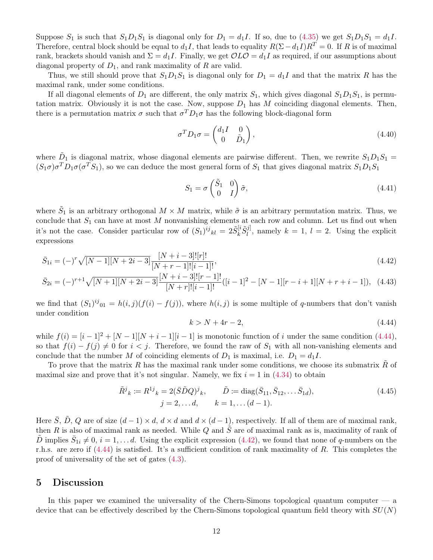Suppose  $S_1$  is such that  $S_1D_1S_1$  is diagonal only for  $D_1 = d_1I$ . If so, due to [\(4.35\)](#page-10-1) we get  $S_1D_1S_1 = d_1I$ . Therefore, central block should be equal to  $d_1I$ , that leads to equality  $R(\Sigma - d_1I)R^T = 0$ . If R is of maximal rank, brackets should vanish and  $\Sigma = d_1I$ . Finally, we get  $\mathcal{O}L\mathcal{O} = d_1I$  as required, if our assumptions about diagonal property of  $D_1$ , and rank maximality of  $R$  are valid.

Thus, we still should prove that  $S_1D_1S_1$  is diagonal only for  $D_1 = d_1I$  and that the matrix R has the maximal rank, under some conditions.

If all diagonal elements of  $D_1$  are different, the only matrix  $S_1$ , which gives diagonal  $S_1D_1S_1$ , is permutation matrix. Obviously it is not the case. Now, suppose  $D_1$  has M coinciding diagonal elements. Then, there is a permutation matrix  $\sigma$  such that  $\sigma^T D_1 \sigma$  has the following block-diagonal form

$$
\sigma^T D_1 \sigma = \begin{pmatrix} d_1 I & 0 \\ 0 & \tilde{D}_1 \end{pmatrix},\tag{4.40}
$$

where  $D_1$  is diagonal matrix, whose diagonal elements are pairwise different. Then, we rewrite  $S_1D_1S_1 =$  $(S_1\sigma)\sigma^T D_1\sigma(\sigma^T S_1)$ , so we can deduce the most general form of  $S_1$  that gives diagonal matrix  $S_1D_1S_1$ 

$$
S_1 = \sigma \begin{pmatrix} \tilde{S}_1 & 0 \\ 0 & I \end{pmatrix} \tilde{\sigma}, \tag{4.41}
$$

where  $\tilde{S}_1$  is an arbitrary orthogonal  $M \times M$  matrix, while  $\tilde{\sigma}$  is an arbitrary permutation matrix. Thus, we conclude that  $S_1$  can have at most M nonvanishing elements at each row and column. Let us find out when it's not the case. Consider particular row of  $(S_1)^{ij}{}_{kl} = 2 \tilde{S}_k^{[i]}$  $_{k}^{[i}\tilde{S}_{l}^{j]}$  $\ell_l^{(j)}$ , namely  $k = 1, l = 2$ . Using the explicit expressions

$$
\bar{S}_{1i} = (-)^{r} \sqrt{[N-1][N+2i-3]} \frac{[N+i-3]![r]!}{[N+r-1]![i-1]!},\tag{4.42}
$$

$$
\bar{S}_{2i} = (-)^{r+1} \sqrt{[N+1][N+2i-3]} \frac{[N+i-3]! [r-1]!}{[N+r]! [i-1]!} ([i-1]^2 - [N-1] [r-i+1] [N+r+i-1]), \tag{4.43}
$$

we find that  $(S_1)^{ij}$ <sub>01</sub> =  $h(i, j)(f(i) - f(j))$ , where  $h(i, j)$  is some multiple of q-numbers that don't vanish under condition

<span id="page-11-2"></span><span id="page-11-1"></span>
$$
k > N + 4r - 2,\tag{4.44}
$$

while  $f(i) = [i-1]^2 + [N-1][N+i-1][i-1]$  is monotonic function of i under the same condition [\(4.44\)](#page-11-1), so that  $f(i) - f(j) \neq 0$  for  $i < j$ . Therefore, we found the raw of  $S_1$  with all non-vanishing elements and conclude that the number M of coinciding elements of  $D_1$  is maximal, i.e.  $D_1 = d_1 I$ .

To prove that the matrix  $R$  has the maximal rank under some conditions, we choose its submatrix  $R$  of maximal size and prove that it's not singular. Namely, we fix  $i = 1$  in [\(4.34\)](#page-10-2) to obtain

$$
\tilde{R}^j{}_k := R^{1j}{}_k = 2(\bar{S}\tilde{D}Q)^j{}_k, \qquad \tilde{D} := \text{diag}(\bar{S}_{11}, \bar{S}_{12}, \dots \bar{S}_{1d}),
$$
\n
$$
j = 2, \dots d, \qquad k = 1, \dots (d - 1).
$$
\n(4.45)

Here  $\overline{S}$ ,  $\overline{D}$ ,  $Q$  are of size  $(d-1) \times d$ ,  $d \times d$  and  $d \times (d-1)$ , respectively. If all of them are of maximal rank, then R is also of maximal rank as needed. While Q and  $\dot{S}$  are of maximal rank as is, maximality of rank of  $\tilde{D}$  implies  $\bar{S}_{1i} \neq 0, i = 1, \ldots d$ . Using the explicit expression [\(4.42\)](#page-11-2), we found that none of q-numbers on the r.h.s. are zero if [\(4.44\)](#page-11-1) is satisfied. It's a sufficient condition of rank maximality of R. This completes the proof of universality of the set of gates [\(4.3\)](#page-6-4).

## <span id="page-11-0"></span>5 Discussion

In this paper we examined the universality of the Chern-Simons topological quantum computer — a device that can be effectively described by the Chern-Simons topological quantum field theory with  $SU(N)$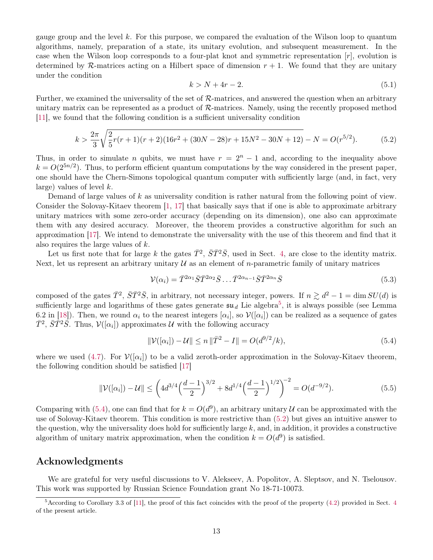gauge group and the level k. For this purpose, we compared the evaluation of the Wilson loop to quantum algorithms, namely, preparation of a state, its unitary evolution, and subsequent measurement. In the case when the Wilson loop corresponds to a four-plat knot and symmetric representation  $[r]$ , evolution is determined by R-matrices acting on a Hilbert space of dimension  $r + 1$ . We found that they are unitary under the condition

$$
k > N + 4r - 2.\tag{5.1}
$$

Further, we examined the universality of the set of  $\mathcal{R}$ -matrices, and answered the question when an arbitrary unitary matrix can be represented as a product of  $\mathcal{R}$ -matrices. Namely, using the recently proposed method [\[11\]](#page-13-9), we found that the following condition is a sufficient universality condition

<span id="page-12-2"></span>
$$
k > \frac{2\pi}{3} \sqrt{\frac{2}{5}r(r+1)(r+2)(16r^2 + (30N - 28)r + 15N^2 - 30N + 12)} - N = O(r^{5/2}).
$$
 (5.2)

Thus, in order to simulate n qubits, we must have  $r = 2<sup>n</sup> - 1$  and, according to the inequality above  $k = O(2^{5n/2})$ . Thus, to perform efficient quantum computations by the way considered in the present paper, one should have the Chern-Simons topological quantum computer with sufficiently large (and, in fact, very large) values of level  $k$ .

Demand of large values of k as universality condition is rather natural from the following point of view. Consider the Solovay-Kitaev theorem [\[1,](#page-13-0) [17\]](#page-13-16) that basically says that if one is able to approximate arbitrary unitary matrices with some zero-order accuracy (depending on its dimension), one also can approximate them with any desired accuracy. Moreover, the theorem provides a constructive algorithm for such an approximation [\[17\]](#page-13-16). We intend to demonstrate the universality with the use of this theorem and find that it also requires the large values of k.

Let us first note that for large k the gates  $\bar{T}^2$ ,  $\bar{S}\bar{T}^2\bar{S}$ , used in Sect. [4,](#page-6-0) are close to the identity matrix. Next, let us represent an arbitrary unitary  $\mathcal U$  as an element of *n*-parametric family of unitary matrices

$$
\mathcal{V}(\alpha_i) = \bar{T}^{2\alpha_1} \bar{S} \bar{T}^{2\alpha_2} \bar{S} \dots \bar{T}^{2\alpha_{n-1}} \bar{S} \bar{T}^{2\alpha_n} \bar{S}
$$
\n
$$
(5.3)
$$

composed of the gates  $\bar{T}^2$ ,  $\bar{S}\bar{T}^2\bar{S}$ , in arbitrary, not necessary integer, powers. If  $n \gtrsim d^2 - 1 = \dim SU(d)$  is sufficiently large and logarithms of these gates generate  $\mathfrak{su}_d$  Lie algebra<sup>[5](#page-12-0)</sup>, it is always possible (see Lemma 6.2 in [\[18\]](#page-13-17)). Then, we round  $\alpha_i$  to the nearest integers  $[\alpha_i]$ , so  $\mathcal{V}([\alpha_i])$  can be realized as a sequence of gates  $\bar{T}^2$ ,  $\bar{S}\bar{T}^2\bar{S}$ . Thus,  $\mathcal{V}([\alpha_i])$  approximates U with the following accuracy

<span id="page-12-1"></span>
$$
\|\mathcal{V}([\alpha_i]) - \mathcal{U}\| \le n \|\bar{T}^2 - I\| = O(d^{9/2}/k),\tag{5.4}
$$

where we used [\(4.7\)](#page-7-3). For  $V([\alpha_i])$  to be a valid zeroth-order approximation in the Solovay-Kitaev theorem, the following condition should be satisfied [\[17\]](#page-13-16)

$$
\|\mathcal{V}([\alpha_i]) - \mathcal{U}\| \le \left(4d^{3/4}\left(\frac{d-1}{2}\right)^{3/2} + 8d^{1/4}\left(\frac{d-1}{2}\right)^{1/2}\right)^{-2} = O(d^{-9/2}).\tag{5.5}
$$

Comparing with [\(5.4\)](#page-12-1), one can find that for  $k = O(d^9)$ , an arbitrary unitary U can be approximated with the use of Solovay-Kitaev theorem. This condition is more restrictive than [\(5.2\)](#page-12-2) but gives an intuitive answer to the question, why the universality does hold for sufficiently large  $k$ , and, in addition, it provides a constructive algorithm of unitary matrix approximation, when the condition  $k = O(d^9)$  is satisfied.

### Acknowledgments

We are grateful for very useful discussions to V. Alekseev, A. Popolitov, A. Sleptsov, and N. Tselousov. This work was supported by Russian Science Foundation grant No 18-71-10073.

<span id="page-12-0"></span> $5$ According to Corollary 3.3 of [\[11\]](#page-13-9), the proof of this fact coincides with the proof of the property [\(4.2\)](#page-6-3) provided in Sect. [4](#page-6-0) of the present article.